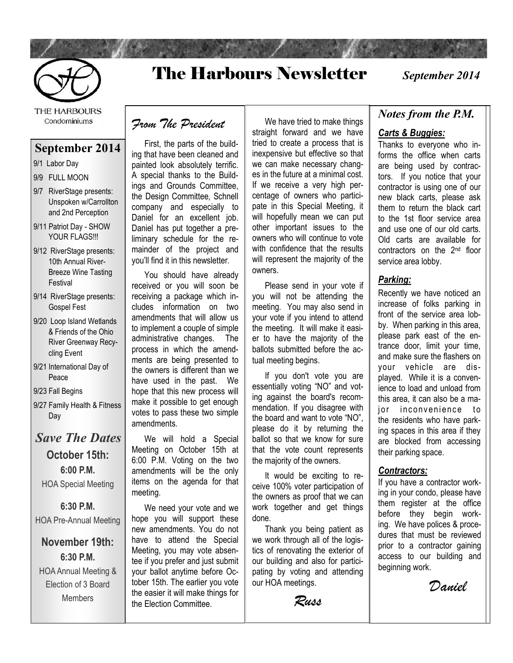

# The Harbours Newsletter

*September 2014*

THE HARBOURS Condominiums

### **September 2014**

- 9/1 Labor Day
- 9/9 FULL MOON
- 9/7 RiverStage presents: Unspoken w/Carrollton and 2nd Perception
- 9/11 Patriot Day SHOW YOUR FLAGS!!!
- 9/12 RiverStage presents: 10th Annual River-Breeze Wine Tasting Festival
- 9/14 RiverStage presents: Gospel Fest
- 9/20 Loop Island Wetlands & Friends of the Ohio River Greenway Recycling Event
- 9/21 International Day of Peace
- 9/23 Fall Begins
- 9/27 Family Health & Fitness Day

## *Save The Dates* **October 15th: 6:00 P.M.**  HOA Special Meeting

**6:30 P.M.**  HOA Pre-Annual Meeting

**November 19th: 6:30 P.M.**  HOA Annual Meeting & Election of 3 Board Members

*From The President*

 First, the parts of the building that have been cleaned and painted look absolutely terrific. A special thanks to the Buildings and Grounds Committee, the Design Committee, Schnell company and especially to Daniel for an excellent job. Daniel has put together a preliminary schedule for the remainder of the project and you'll find it in this newsletter.

 You should have already received or you will soon be receiving a package which includes information on two amendments that will allow us to implement a couple of simple administrative changes. The process in which the amendments are being presented to the owners is different than we have used in the past. We hope that this new process will make it possible to get enough votes to pass these two simple amendments.

 We will hold a Special Meeting on October 15th at 6:00 P.M. Voting on the two amendments will be the only items on the agenda for that meeting.

 We need your vote and we hope you will support these new amendments. You do not have to attend the Special Meeting, you may vote absentee if you prefer and just submit your ballot anytime before October 15th. The earlier you vote the easier it will make things for the Election Committee.

 We have tried to make things straight forward and we have tried to create a process that is inexpensive but effective so that we can make necessary changes in the future at a minimal cost. If we receive a very high percentage of owners who participate in this Special Meeting, it will hopefully mean we can put other important issues to the owners who will continue to vote with confidence that the results will represent the majority of the owners.

 Please send in your vote if you will not be attending the meeting. You may also send in your vote if you intend to attend the meeting. It will make it easier to have the majority of the ballots submitted before the actual meeting begins.

 If you don't vote you are essentially voting "NO" and voting against the board's recommendation. If you disagree with the board and want to vote "NO", please do it by returning the ballot so that we know for sure that the vote count represents the majority of the owners.

 It would be exciting to receive 100% voter participation of the owners as proof that we can work together and get things done.

 Thank you being patient as we work through all of the logistics of renovating the exterior of our building and also for participating by voting and attending our HOA meetings.

*Russ*

### *Notes from the P.M.*

#### *Carts & Buggies:*

Thanks to everyone who informs the office when carts are being used by contractors. If you notice that your contractor is using one of our new black carts, please ask them to return the black cart to the 1st floor service area and use one of our old carts. Old carts are available for contractors on the 2nd floor service area lobby.

#### *Parking:*

Recently we have noticed an increase of folks parking in front of the service area lobby. When parking in this area, please park east of the entrance door, limit your time, and make sure the flashers on your vehicle are displayed. While it is a convenience to load and unload from this area, it can also be a major inconvenience to the residents who have parking spaces in this area if they are blocked from accessing their parking space.

#### *Contractors:*

If you have a contractor working in your condo, please have them register at the office before they begin working. We have polices & procedures that must be reviewed prior to a contractor gaining access to our building and beginning work.

 *Daniel*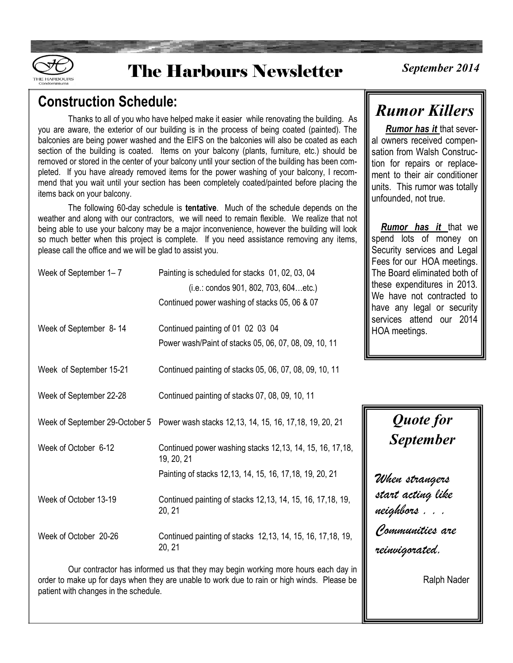

# **The Harbours Newsletter**

## **Construction Schedule:**

Thanks to all of you who have helped make it easier while renovating the building. As you are aware, the exterior of our building is in the process of being coated (painted). The balconies are being power washed and the EIFS on the balconies will also be coated as each section of the building is coated. Items on your balcony (plants, furniture, etc.) should be removed or stored in the center of your balcony until your section of the building has been completed. If you have already removed items for the power washing of your balcony, I recommend that you wait until your section has been completely coated/painted before placing the items back on your balcony.

The following 60-day schedule is **tentative**. Much of the schedule depends on the weather and along with our contractors, we will need to remain flexible. We realize that not being able to use your balcony may be a major inconvenience, however the building will look so much better when this project is complete. If you need assistance removing any items, please call the office and we will be glad to assist you.

| Week of September 1–7   | Painting is scheduled for stacks 01, 02, 03, 04<br>$(i.e.:$ condos 901, 802, 703, 604etc.)<br>Continued power washing of stacks 05, 06 & 07 |  |  |
|-------------------------|---------------------------------------------------------------------------------------------------------------------------------------------|--|--|
| Week of September 8-14  | Continued painting of 01 02 03 04<br>Power wash/Paint of stacks 05, 06, 07, 08, 09, 10, 11                                                  |  |  |
| Week of September 15-21 | Continued painting of stacks 05, 06, 07, 08, 09, 10, 11                                                                                     |  |  |
| Week of September 22-28 | Continued painting of stacks 07, 08, 09, 10, 11                                                                                             |  |  |
|                         | Week of September 29-October 5 Power wash stacks 12,13, 14, 15, 16, 17, 18, 19, 20, 21                                                      |  |  |
| Week of October 6-12    | Continued power washing stacks 12,13, 14, 15, 16, 17, 18,<br>19, 20, 21<br>Painting of stacks 12,13, 14, 15, 16, 17, 18, 19, 20, 21         |  |  |
| Week of October 13-19   | Continued painting of stacks 12,13, 14, 15, 16, 17, 18, 19,<br>20, 21                                                                       |  |  |
| Week of October 20-26   | Continued painting of stacks 12,13, 14, 15, 16, 17, 18, 19,<br>20, 21                                                                       |  |  |

 Our contractor has informed us that they may begin working more hours each day in order to make up for days when they are unable to work due to rain or high winds. Please be patient with changes in the schedule.

## *Rumor Killers*

 *Rumor has it* that several owners received compensation from Walsh Construction for repairs or replacement to their air conditioner units. This rumor was totally unfounded, not true.

 *Rumor has it* that we spend lots of money on Security services and Legal Fees for our HOA meetings. The Board eliminated both of these expenditures in 2013. We have not contracted to have any legal or security services attend our 2014 HOA meetings.

# *Quote for September*

*When strangers start acting like neighbors . . . Communities are reinvigorated.*

Ralph Nader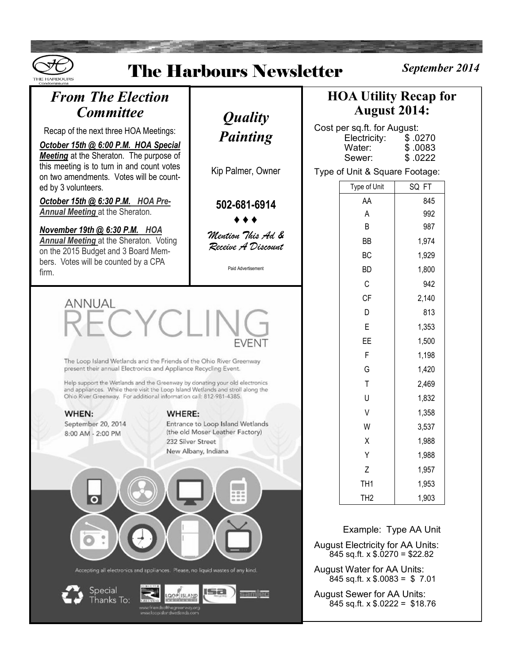| September 2014<br><b>The Harbours Newsletter</b><br><b>THE HARROLIRS</b><br>Condominiums                                                                                                                                                                                                                                                                                                                                                                 |                                                               |                                                                                                                                                                                                                                                          |                                                                  |                                                             |  |
|----------------------------------------------------------------------------------------------------------------------------------------------------------------------------------------------------------------------------------------------------------------------------------------------------------------------------------------------------------------------------------------------------------------------------------------------------------|---------------------------------------------------------------|----------------------------------------------------------------------------------------------------------------------------------------------------------------------------------------------------------------------------------------------------------|------------------------------------------------------------------|-------------------------------------------------------------|--|
| <b>From The Election</b><br><b>Committee</b>                                                                                                                                                                                                                                                                                                                                                                                                             | <i><b>Quality</b></i>                                         | <b>HOA Utility Recap for</b><br><b>August 2014:</b>                                                                                                                                                                                                      |                                                                  |                                                             |  |
| Recap of the next three HOA Meetings:<br>October 15th @ 6:00 P.M. HOA Special<br><b>Meeting</b> at the Sheraton. The purpose of<br>this meeting is to turn in and count votes<br>on two amendments. Votes will be count-                                                                                                                                                                                                                                 | <b>Painting</b>                                               |                                                                                                                                                                                                                                                          | Cost per sq.ft. for August:<br>Electricity:<br>Water:<br>Sewer:  | \$.0270<br>\$.0083<br>\$.0222                               |  |
|                                                                                                                                                                                                                                                                                                                                                                                                                                                          | Kip Palmer, Owner                                             | Type of Unit & Square Footage:                                                                                                                                                                                                                           |                                                                  |                                                             |  |
| ed by 3 volunteers.<br>October 15th @ 6:30 P.M. HOA Pre-<br><b>Annual Meeting at the Sheraton.</b>                                                                                                                                                                                                                                                                                                                                                       | 502-681-6914                                                  |                                                                                                                                                                                                                                                          | Type of Unit<br>AA<br>A<br>B                                     | SQ FT<br>845<br>992<br>987                                  |  |
| November 19th @ 6:30 P.M. HOA<br><b>Annual Meeting at the Sheraton. Voting</b><br>on the 2015 Budget and 3 Board Mem-<br>bers. Votes will be counted by a CPA                                                                                                                                                                                                                                                                                            | Mention This Ad &<br>Receive A Discount<br>Paid Advertisement |                                                                                                                                                                                                                                                          | <b>BB</b><br><b>BC</b><br><b>BD</b>                              | 1,974<br>1,929<br>1,800                                     |  |
| firm.                                                                                                                                                                                                                                                                                                                                                                                                                                                    |                                                               |                                                                                                                                                                                                                                                          | C<br><b>CF</b>                                                   | 942<br>2,140                                                |  |
| ANNUAL<br>RECYCLI                                                                                                                                                                                                                                                                                                                                                                                                                                        | EVENT                                                         |                                                                                                                                                                                                                                                          | D<br>E<br>FF.                                                    | 813<br>1,353<br>1,500                                       |  |
| The Loop Island Wetlands and the Friends of the Ohio River Greenway<br>present their annual Electronics and Appliance Recycling Event.                                                                                                                                                                                                                                                                                                                   |                                                               |                                                                                                                                                                                                                                                          | F<br>G                                                           | 1,198<br>1,420                                              |  |
| Help support the Wetlands and the Greenway by conating your old electronics<br>and appliances. While there visit the Loop Island Wetlands and stroll along the<br>Ohio River Greenway. For additional information call: 812-981-4385.                                                                                                                                                                                                                    |                                                               |                                                                                                                                                                                                                                                          | Τ<br>U                                                           | 2,469<br>1,832                                              |  |
| WHEN:<br>WHERE:<br>September 20, 2014<br>Entrance to Loop Island Wetlands<br>(the old Moser Leather Factory)<br>8:00 AM - 2:00 PM<br>232 Silver Street<br>New Albany, Indiana<br>$\frac{000}{000}$<br>$\circ$<br>0.010<br>Accepting all electronics and appliances. Please, no liquid wastes of any kind.<br>Special<br>sanjer<br><b>GOP ISLAND</b><br>hanks To:<br><u>KAN BERKATAN DI</u><br>www.friendsofthegreenway.org<br>www.loopislandwetlands.com |                                                               |                                                                                                                                                                                                                                                          | $\vee$<br>W<br>Χ<br>Υ<br>Ζ<br>TH <sub>1</sub><br>TH <sub>2</sub> | 1,358<br>3,537<br>1,988<br>1,988<br>1,957<br>1,953<br>1,903 |  |
|                                                                                                                                                                                                                                                                                                                                                                                                                                                          |                                                               | Example: Type AA Unit<br><b>August Electricity for AA Units:</b><br>845 sq.ft. $\times$ \$.0270 = \$22.82<br>August Water for AA Units:<br>845 sq.ft. $\times$ \$.0083 = \$7.01<br><b>August Sewer for AA Units:</b><br>845 sq.ft. $x$ \$.0222 = \$18.76 |                                                                  |                                                             |  |